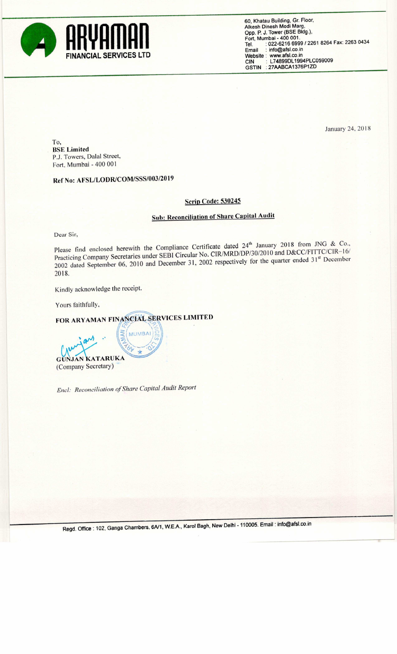

60, Khatau Building. Gr. Floor, Alkesh Dinesh Modi Marg, Opp. P. J. Tower (BSE Bidg.),<br>Fort, Mumbai - 400 001.<br>Tel. : 022-6216 6999 / 2261 8264 Fax: 2263 0434 Email : info@afsl.co.in Website: www.afsl.co.in CIN : L748990L1994PLCO59009 GSTlN : 27AABCA1376P1ZD

January 24, 2018

To, BSE Limited PJ. Towers, Dalal Street, Fort. Mumbai - 400 001

Ref No: AFSL/LODR/COM/SSS/003/2019

## **Scrip Code: 530245**

## Sub: Reconciliation of Share Capital Audit

Dear Sir,

Please find enclosed herewith the Compliance Certificate dated 24<sup>th</sup> January 2018 from JNG & Co., Practicing Company Secretaries under SEBI Circular No. CIR/MRD/DP/30/2010 and D&CC/FITTC/CIR-16/ 2002 dated September 06, 2010 and December 31, 2002 respectively for the quarter ended 31<sup>st</sup> December 2018.

Kindly acknowledge the receipt.

.'

Yours faithfully,

 $\ddot{\phantom{0}}$ an

 $\sqrt{11}$ FOR ARYAMAN FINANCIAL SERVICES LIMITED

**NUMBA** 

 $\sim$  //

GUNJAN KATARUKA (Company Secretary)

Encl: Reconciliation of Share Capital Audit Report

 $\sqrt{2}$ 

Regd, Office : 102, Ganga Chambers, 6A/1, W.E.A., Karol Bagh, New Delhi - 110005. Email : info@afsl.co.in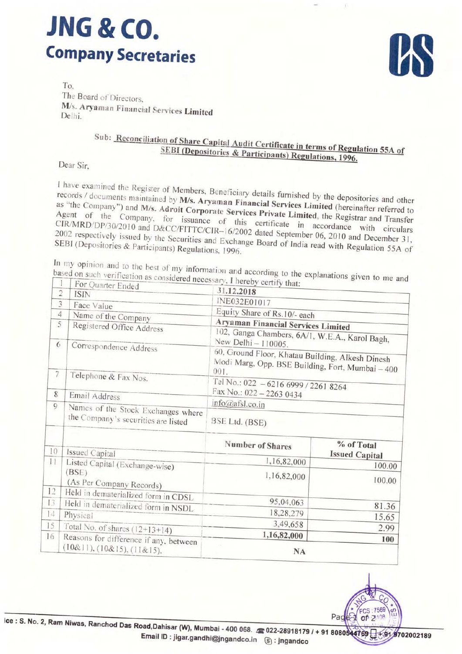## **JNG & CO. Company Secretaries**



 $To$ The Board of Directors, M/s. Aryaman Financial Services Limited Delhi.

## Sub: Reconciliation of Share Capital Audit Certificate in terms of Regulation 55A of SEBI (Depositories & Participants) Regulations, 1996.

Dear Sir.

I have examined the Register of Members, Beneficiary details furnished by the depositories and other records / documents maintained by M/s. Aryaman Financial Services Limited (hereinafter referred to as "the Company") and M/s. Adroit Corporate Services Private Limited, the Registrar and Transfer Agent of the Company, for issuance of this certificate in accordance with circulars CIR/MRD/DP/30/2010 and D&CC/FITTC/CIR-16/2002 dated September 06, 2010 and December 31, 2002 respectively issued by the Securities and Exchange Board of India read with Regulation 55A of SEBI (Depositories & Participants) Regulations, 1996.

In my opinion and to the best of my information and according to the explanations given to me and based on such verification as considered necessary, I hereby certify that:

|                | (10&1), (10&15), (11&15).                                                 | <b>NA</b>                                                                                                                                                                             |                                     |  |  |  |
|----------------|---------------------------------------------------------------------------|---------------------------------------------------------------------------------------------------------------------------------------------------------------------------------------|-------------------------------------|--|--|--|
| 16             | Reasons for difference if any, between                                    | 1,16,82,000                                                                                                                                                                           | 100                                 |  |  |  |
| 15             | Total No. of shares $(12+13+14)$                                          | 3,49,658                                                                                                                                                                              | 2.99                                |  |  |  |
| 14             | Physical                                                                  | 18,28,279                                                                                                                                                                             | 15.65                               |  |  |  |
| 13             | Held in dematerialized form in NSDL                                       | 95,04,063                                                                                                                                                                             | 81.36                               |  |  |  |
| 12             | Held in dematerialized form in CDSL                                       |                                                                                                                                                                                       |                                     |  |  |  |
|                | (BSE)<br>(As Per Company Records)                                         | 1,16,82,000                                                                                                                                                                           | 100.00                              |  |  |  |
| 11             | Listed Capital (Exchange-wise)                                            | 1,16,82,000                                                                                                                                                                           | 100.00                              |  |  |  |
| 10             | Issued Capital                                                            | <b>Number of Shares</b>                                                                                                                                                               | % of Total<br><b>Issued Capital</b> |  |  |  |
|                | Names of the Stock Exchanges where<br>the Company's securities are listed | BSE Ltd. (BSE)                                                                                                                                                                        |                                     |  |  |  |
| 9              |                                                                           | info@afsl.co.in                                                                                                                                                                       |                                     |  |  |  |
| 8              | Email Address                                                             | Tel No.: 022 - 6216 6999 / 2261 8264<br>Fax No.: 022 - 2263 0434                                                                                                                      |                                     |  |  |  |
| $\overline{7}$ | Telephone & Fax Nos.                                                      | 102, Ganga Chambers, 6A/1, W.E.A., Karol Bagh,<br>New Delhi - 110005.<br>60, Ground Floor, Khatau Building, Alkesh Dinesh<br>Modi Marg, Opp. BSE Building, Fort, Mumbai - 400<br>001. |                                     |  |  |  |
| 6              | Correspondence Address                                                    |                                                                                                                                                                                       |                                     |  |  |  |
| 5              | Registered Office Address                                                 | <b>Aryaman Financial Services Limited</b>                                                                                                                                             |                                     |  |  |  |
| 4              | Name of the Company                                                       | Equity Share of Rs.10/- each                                                                                                                                                          |                                     |  |  |  |
| 3              | Face Value                                                                | INE032E01017                                                                                                                                                                          |                                     |  |  |  |
| $\overline{2}$ | For Quarter Ended<br><b>ISIN</b>                                          | 31.12.2018                                                                                                                                                                            |                                     |  |  |  |